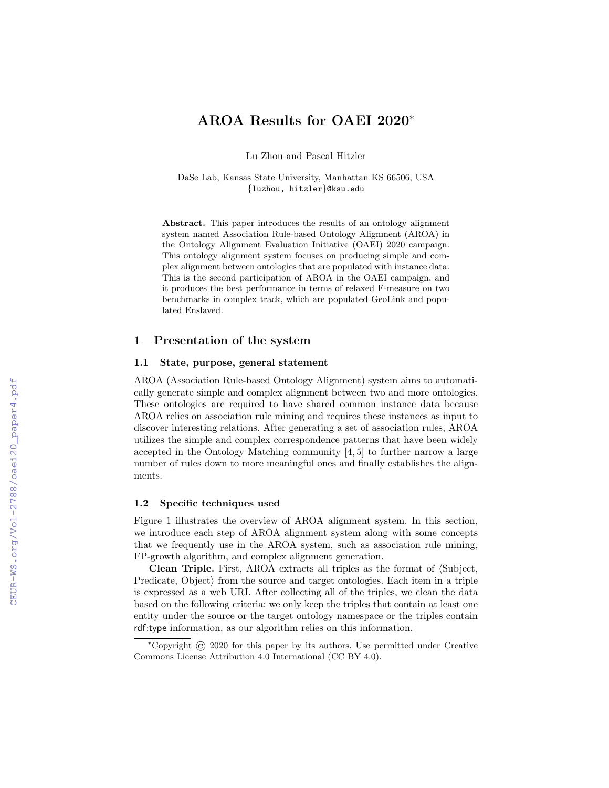# AROA Results for OAEI 2020<sup>∗</sup>

Lu Zhou and Pascal Hitzler

DaSe Lab, Kansas State University, Manhattan KS 66506, USA {luzhou, hitzler}@ksu.edu

Abstract. This paper introduces the results of an ontology alignment system named Association Rule-based Ontology Alignment (AROA) in the Ontology Alignment Evaluation Initiative (OAEI) 2020 campaign. This ontology alignment system focuses on producing simple and complex alignment between ontologies that are populated with instance data. This is the second participation of AROA in the OAEI campaign, and it produces the best performance in terms of relaxed F-measure on two benchmarks in complex track, which are populated GeoLink and populated Enslaved.

### 1 Presentation of the system

### 1.1 State, purpose, general statement

AROA (Association Rule-based Ontology Alignment) system aims to automatically generate simple and complex alignment between two and more ontologies. These ontologies are required to have shared common instance data because AROA relies on association rule mining and requires these instances as input to discover interesting relations. After generating a set of association rules, AROA utilizes the simple and complex correspondence patterns that have been widely accepted in the Ontology Matching community [4, 5] to further narrow a large number of rules down to more meaningful ones and finally establishes the alignments.

### 1.2 Specific techniques used

Figure 1 illustrates the overview of AROA alignment system. In this section, we introduce each step of AROA alignment system along with some concepts that we frequently use in the AROA system, such as association rule mining, FP-growth algorithm, and complex alignment generation.

Clean Triple. First, AROA extracts all triples as the format of  $\langle \text{Subject}, \rangle$ Predicate,  $Object$  from the source and target ontologies. Each item in a triple is expressed as a web URI. After collecting all of the triples, we clean the data based on the following criteria: we only keep the triples that contain at least one entity under the source or the target ontology namespace or the triples contain rdf:type information, as our algorithm relies on this information.

<sup>∗</sup>Copyright © 2020 for this paper by its authors. Use permitted under Creative Commons License Attribution 4.0 International (CC BY 4.0).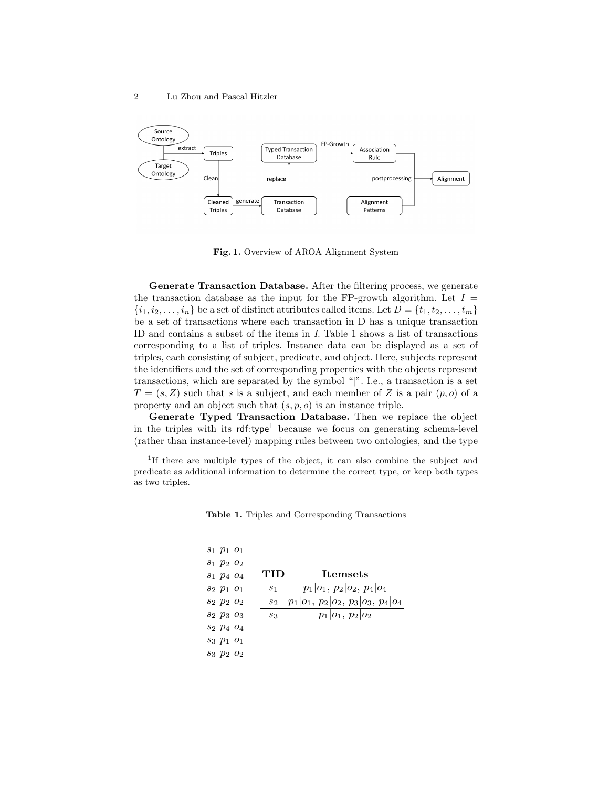

Fig. 1. Overview of AROA Alignment System

Generate Transaction Database. After the filtering process, we generate the transaction database as the input for the FP-growth algorithm. Let  $I =$  $\{i_1, i_2, \ldots, i_n\}$  be a set of distinct attributes called items. Let  $D = \{t_1, t_2, \ldots, t_m\}$ be a set of transactions where each transaction in D has a unique transaction ID and contains a subset of the items in I. Table 1 shows a list of transactions corresponding to a list of triples. Instance data can be displayed as a set of triples, each consisting of subject, predicate, and object. Here, subjects represent the identifiers and the set of corresponding properties with the objects represent transactions, which are separated by the symbol "|". I.e., a transaction is a set  $T = (s, Z)$  such that s is a subject, and each member of Z is a pair  $(p, o)$  of a property and an object such that  $(s, p, o)$  is an instance triple.

Generate Typed Transaction Database. Then we replace the object in the triples with its  $\mathsf{rdf}:\mathsf{type}^1$  because we focus on generating schema-level (rather than instance-level) mapping rules between two ontologies, and the type

| $s_1$ $p_1$ $o_1$                                                            |  |
|------------------------------------------------------------------------------|--|
| $s_1$ $p_2$ $o_2$                                                            |  |
| <b>TID</b><br><b>Itemsets</b><br>$s_1$ $p_4$ $o_4$                           |  |
| $p_1 o_1, p_2 o_2, p_4 o_4$<br>$s_2$ $p_1$ $o_1$<br>s <sub>1</sub>           |  |
| $ p_1 o_1, p_2 o_2, p_3 o_3, p_4 o_4$<br>S <sub>2</sub> $p_2$ $o_2$<br>$s_2$ |  |
| $p_1 o_1, p_2 o_2$<br>$s_2 p_3 o_3$<br>$s_3$                                 |  |
| S <sub>2</sub> p <sub>4</sub> o <sub>4</sub>                                 |  |
| $s_3 p_1 o_1$                                                                |  |
| $s_3 p_2 o_2$                                                                |  |

Table 1. Triples and Corresponding Transactions

<sup>&</sup>lt;sup>1</sup>If there are multiple types of the object, it can also combine the subject and predicate as additional information to determine the correct type, or keep both types as two triples.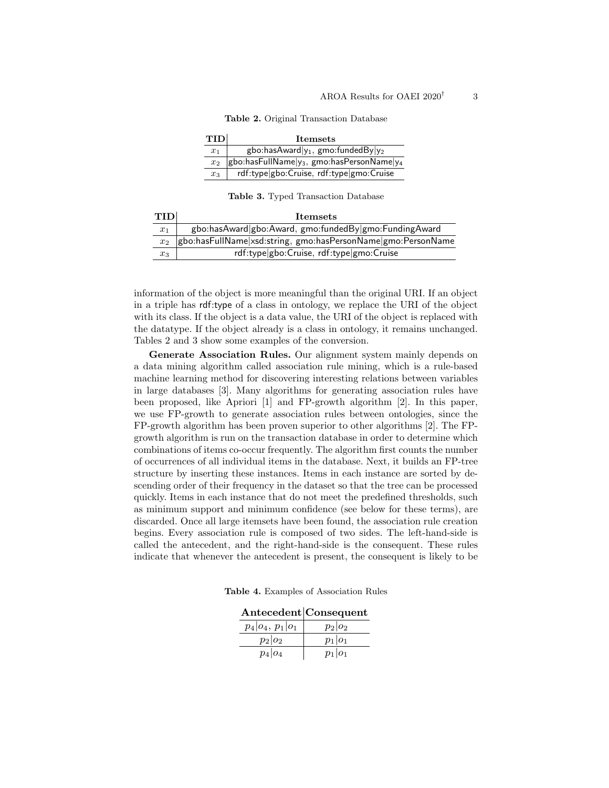Table 2. Original Transaction Database

| <b>TID</b>     | <b>Itemsets</b>                                         |
|----------------|---------------------------------------------------------|
| $x_1$          | gbo:hasAward $ y_1, g$ mo:fundedBy $ y_2 $              |
| x <sub>2</sub> | $ $ gbo:hasFullName $ y_3 $ , gmo:hasPersonName $ y_4 $ |
| $x_3$          | rdf:type gbo:Cruise, rdf:type gmo:Cruise                |

Table 3. Typed Transaction Database

| <b>TID</b> | <b>Itemsets</b>                                              |
|------------|--------------------------------------------------------------|
| $x_1$      | gbo:hasAward gbo:Award, gmo:fundedBy gmo:FundingAward        |
| $x_2$      | gbo:hasFullName xsd:string, gmo:hasPersonName gmo:PersonName |
| $x_3$      | rdf:type gbo:Cruise, rdf:type gmo:Cruise                     |

information of the object is more meaningful than the original URI. If an object in a triple has rdf:type of a class in ontology, we replace the URI of the object with its class. If the object is a data value, the URI of the object is replaced with the datatype. If the object already is a class in ontology, it remains unchanged. Tables 2 and 3 show some examples of the conversion.

Generate Association Rules. Our alignment system mainly depends on a data mining algorithm called association rule mining, which is a rule-based machine learning method for discovering interesting relations between variables in large databases [3]. Many algorithms for generating association rules have been proposed, like Apriori [1] and FP-growth algorithm [2]. In this paper, we use FP-growth to generate association rules between ontologies, since the FP-growth algorithm has been proven superior to other algorithms [2]. The FPgrowth algorithm is run on the transaction database in order to determine which combinations of items co-occur frequently. The algorithm first counts the number of occurrences of all individual items in the database. Next, it builds an FP-tree structure by inserting these instances. Items in each instance are sorted by descending order of their frequency in the dataset so that the tree can be processed quickly. Items in each instance that do not meet the predefined thresholds, such as minimum support and minimum confidence (see below for these terms), are discarded. Once all large itemsets have been found, the association rule creation begins. Every association rule is composed of two sides. The left-hand-side is called the antecedent, and the right-hand-side is the consequent. These rules indicate that whenever the antecedent is present, the consequent is likely to be

Table 4. Examples of Association Rules

|  | Antecedent Consequent |
|--|-----------------------|
|--|-----------------------|

| $p_4 o_4, p_1 o_1$ | $p_2 o_2$ |
|--------------------|-----------|
| $p_2 o_2$          | $p_1 o_1$ |
| $p_4 o_4$          | $p_1 o_1$ |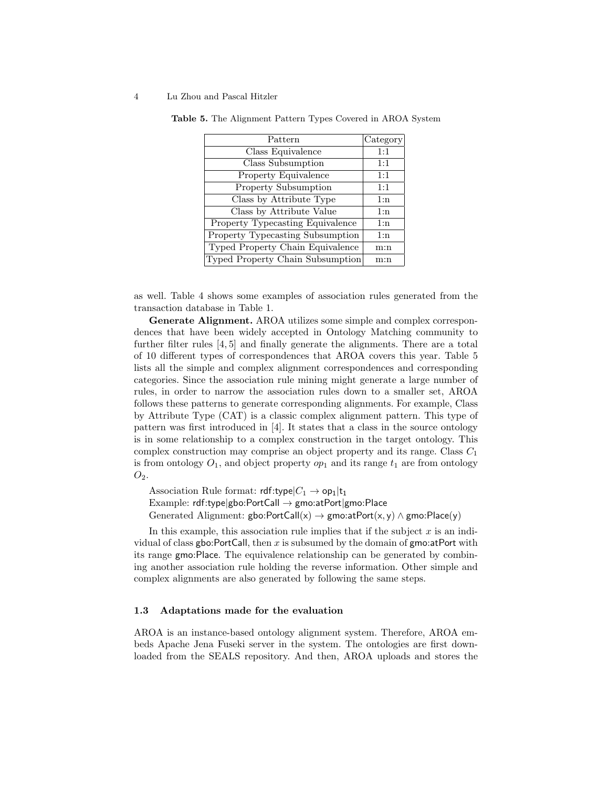#### 4 Lu Zhou and Pascal Hitzler

| Pattern                          | Category |
|----------------------------------|----------|
| Class Equivalence                | 1:1      |
| Class Subsumption                | 1:1      |
| Property Equivalence             | 1:1      |
| <b>Property Subsumption</b>      | 1:1      |
| Class by Attribute Type          | 1:n      |
| Class by Attribute Value         | 1:n      |
| Property Typecasting Equivalence | 1:n      |
| Property Typecasting Subsumption | 1:n      |
| Typed Property Chain Equivalence | m:n      |
| Typed Property Chain Subsumption | m:n      |

Table 5. The Alignment Pattern Types Covered in AROA System

as well. Table 4 shows some examples of association rules generated from the transaction database in Table 1.

Generate Alignment. AROA utilizes some simple and complex correspondences that have been widely accepted in Ontology Matching community to further filter rules [4, 5] and finally generate the alignments. There are a total of 10 different types of correspondences that AROA covers this year. Table 5 lists all the simple and complex alignment correspondences and corresponding categories. Since the association rule mining might generate a large number of rules, in order to narrow the association rules down to a smaller set, AROA follows these patterns to generate corresponding alignments. For example, Class by Attribute Type (CAT) is a classic complex alignment pattern. This type of pattern was first introduced in [4]. It states that a class in the source ontology is in some relationship to a complex construction in the target ontology. This complex construction may comprise an object property and its range. Class  $C_1$ is from ontology  $O_1$ , and object property  $op_1$  and its range  $t_1$  are from ontology  $O_2$ .

Association Rule format:  $\mathsf{rdf:type}|C_1 \to \mathsf{op}_1|\mathsf{t}_1$ Example: rdf:type|gbo:PortCall → gmo:atPort|gmo:Place Generated Alignment: gbo:PortCall(x)  $\rightarrow$  gmo:atPort(x, y)  $\land$  gmo:Place(y)

In this example, this association rule implies that if the subject  $x$  is an individual of class gbo:PortCall, then x is subsumed by the domain of gmo:atPort with its range gmo:Place. The equivalence relationship can be generated by combining another association rule holding the reverse information. Other simple and complex alignments are also generated by following the same steps.

### 1.3 Adaptations made for the evaluation

AROA is an instance-based ontology alignment system. Therefore, AROA embeds Apache Jena Fuseki server in the system. The ontologies are first downloaded from the SEALS repository. And then, AROA uploads and stores the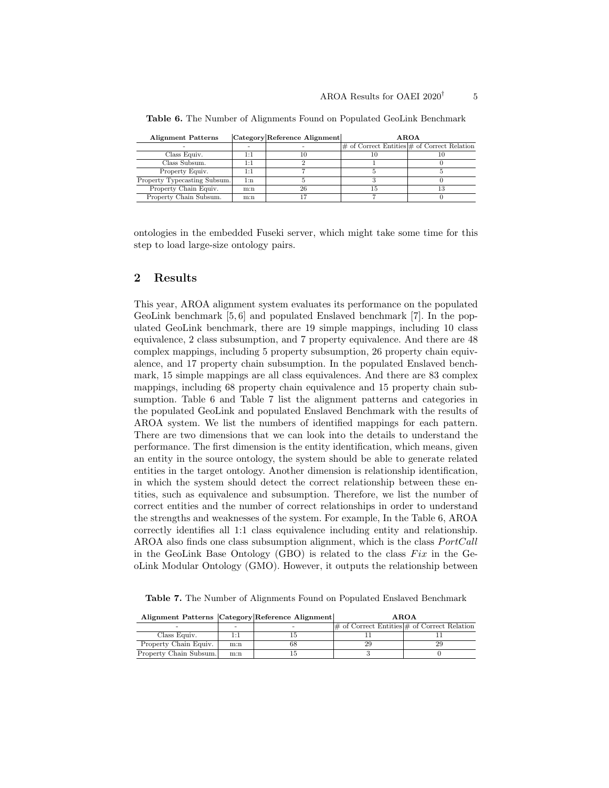| <b>Alignment Patterns</b>    |     | Category Reference Alignment | <b>AROA</b> |                                                     |  |  |
|------------------------------|-----|------------------------------|-------------|-----------------------------------------------------|--|--|
|                              |     |                              |             | $ \#$ of Correct Entities $ \#$ of Correct Relation |  |  |
| Class Equiv.                 | 1:1 |                              | 10          |                                                     |  |  |
| Class Subsum.                | 1:1 |                              |             |                                                     |  |  |
| Property Equiv.              | 1:1 |                              |             |                                                     |  |  |
| Property Typecasting Subsum. | 1:n |                              |             |                                                     |  |  |
| Property Chain Equiv.        | m:n | 26                           | 15          |                                                     |  |  |
| Property Chain Subsum.       | m:n |                              |             |                                                     |  |  |

Table 6. The Number of Alignments Found on Populated GeoLink Benchmark

ontologies in the embedded Fuseki server, which might take some time for this step to load large-size ontology pairs.

## 2 Results

This year, AROA alignment system evaluates its performance on the populated GeoLink benchmark [5, 6] and populated Enslaved benchmark [7]. In the populated GeoLink benchmark, there are 19 simple mappings, including 10 class equivalence, 2 class subsumption, and 7 property equivalence. And there are 48 complex mappings, including 5 property subsumption, 26 property chain equivalence, and 17 property chain subsumption. In the populated Enslaved benchmark, 15 simple mappings are all class equivalences. And there are 83 complex mappings, including 68 property chain equivalence and 15 property chain subsumption. Table 6 and Table 7 list the alignment patterns and categories in the populated GeoLink and populated Enslaved Benchmark with the results of AROA system. We list the numbers of identified mappings for each pattern. There are two dimensions that we can look into the details to understand the performance. The first dimension is the entity identification, which means, given an entity in the source ontology, the system should be able to generate related entities in the target ontology. Another dimension is relationship identification, in which the system should detect the correct relationship between these entities, such as equivalence and subsumption. Therefore, we list the number of correct entities and the number of correct relationships in order to understand the strengths and weaknesses of the system. For example, In the Table 6, AROA correctly identifies all 1:1 class equivalence including entity and relationship. AROA also finds one class subsumption alignment, which is the class  $PortCall$ in the GeoLink Base Ontology (GBO) is related to the class  $Fix$  in the GeoLink Modular Ontology (GMO). However, it outputs the relationship between

Table 7. The Number of Alignments Found on Populated Enslaved Benchmark

|                        |     | Alignment Patterns Category Reference Alignment | AROA |                                                               |  |  |  |
|------------------------|-----|-------------------------------------------------|------|---------------------------------------------------------------|--|--|--|
|                        |     |                                                 |      | $\vert \#$ of Correct Entities $\vert \#$ of Correct Relation |  |  |  |
| Class Equiv.           | Ŀ.  |                                                 |      |                                                               |  |  |  |
| Property Chain Equiv.  | m:n | bδ                                              | 29   |                                                               |  |  |  |
| Property Chain Subsum. | m:n |                                                 |      |                                                               |  |  |  |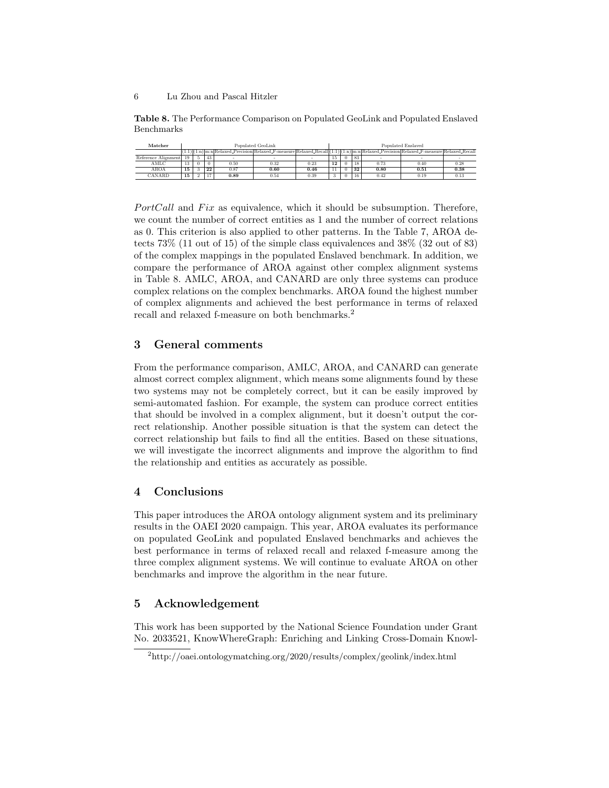#### 6 Lu Zhou and Pascal Hitzler

Table 8. The Performance Comparison on Populated GeoLink and Populated Enslaved Benchmarks

| Matcher             |    | Populated GeoLink |    |      |                                                                                                                                       |      |    | Populated Enslaved |    |      |      |           |
|---------------------|----|-------------------|----|------|---------------------------------------------------------------------------------------------------------------------------------------|------|----|--------------------|----|------|------|-----------|
|                     |    |                   |    |      | (1:1) (1:n) m:n Relaxed_Precision Relaxed_F-measure Relaxed_Recall (1:1) (1:n) m:n Relaxed_Precision Relaxed_F-measure Relaxed_Recall |      |    |                    |    |      |      |           |
| Reference Alignment | 19 |                   | 43 |      |                                                                                                                                       |      | 15 | $^{(1)}$           | 83 |      |      |           |
| AMLC                | 13 |                   | 0  | 0.50 | 0.32                                                                                                                                  | 0.23 | 12 |                    |    | 0.73 | 0.40 | 0.28      |
| AROA                | 15 |                   | 22 | 0.87 | 0.60                                                                                                                                  | 0.46 |    |                    | 32 | 0.80 | 0.51 | 0.38      |
| CANARD              | 15 |                   |    | 0.89 | 0.54                                                                                                                                  | 0.39 |    | $\theta$           |    | 0.42 | 0.19 | $_{0.13}$ |

 $PortCall$  and  $Fix$  as equivalence, which it should be subsumption. Therefore, we count the number of correct entities as 1 and the number of correct relations as 0. This criterion is also applied to other patterns. In the Table 7, AROA detects 73% (11 out of 15) of the simple class equivalences and 38% (32 out of 83) of the complex mappings in the populated Enslaved benchmark. In addition, we compare the performance of AROA against other complex alignment systems in Table 8. AMLC, AROA, and CANARD are only three systems can produce complex relations on the complex benchmarks. AROA found the highest number of complex alignments and achieved the best performance in terms of relaxed recall and relaxed f-measure on both benchmarks.<sup>2</sup>

## 3 General comments

From the performance comparison, AMLC, AROA, and CANARD can generate almost correct complex alignment, which means some alignments found by these two systems may not be completely correct, but it can be easily improved by semi-automated fashion. For example, the system can produce correct entities that should be involved in a complex alignment, but it doesn't output the correct relationship. Another possible situation is that the system can detect the correct relationship but fails to find all the entities. Based on these situations, we will investigate the incorrect alignments and improve the algorithm to find the relationship and entities as accurately as possible.

## 4 Conclusions

This paper introduces the AROA ontology alignment system and its preliminary results in the OAEI 2020 campaign. This year, AROA evaluates its performance on populated GeoLink and populated Enslaved benchmarks and achieves the best performance in terms of relaxed recall and relaxed f-measure among the three complex alignment systems. We will continue to evaluate AROA on other benchmarks and improve the algorithm in the near future.

## 5 Acknowledgement

This work has been supported by the National Science Foundation under Grant No. 2033521, KnowWhereGraph: Enriching and Linking Cross-Domain Knowl-

<sup>2</sup>http://oaei.ontologymatching.org/2020/results/complex/geolink/index.html